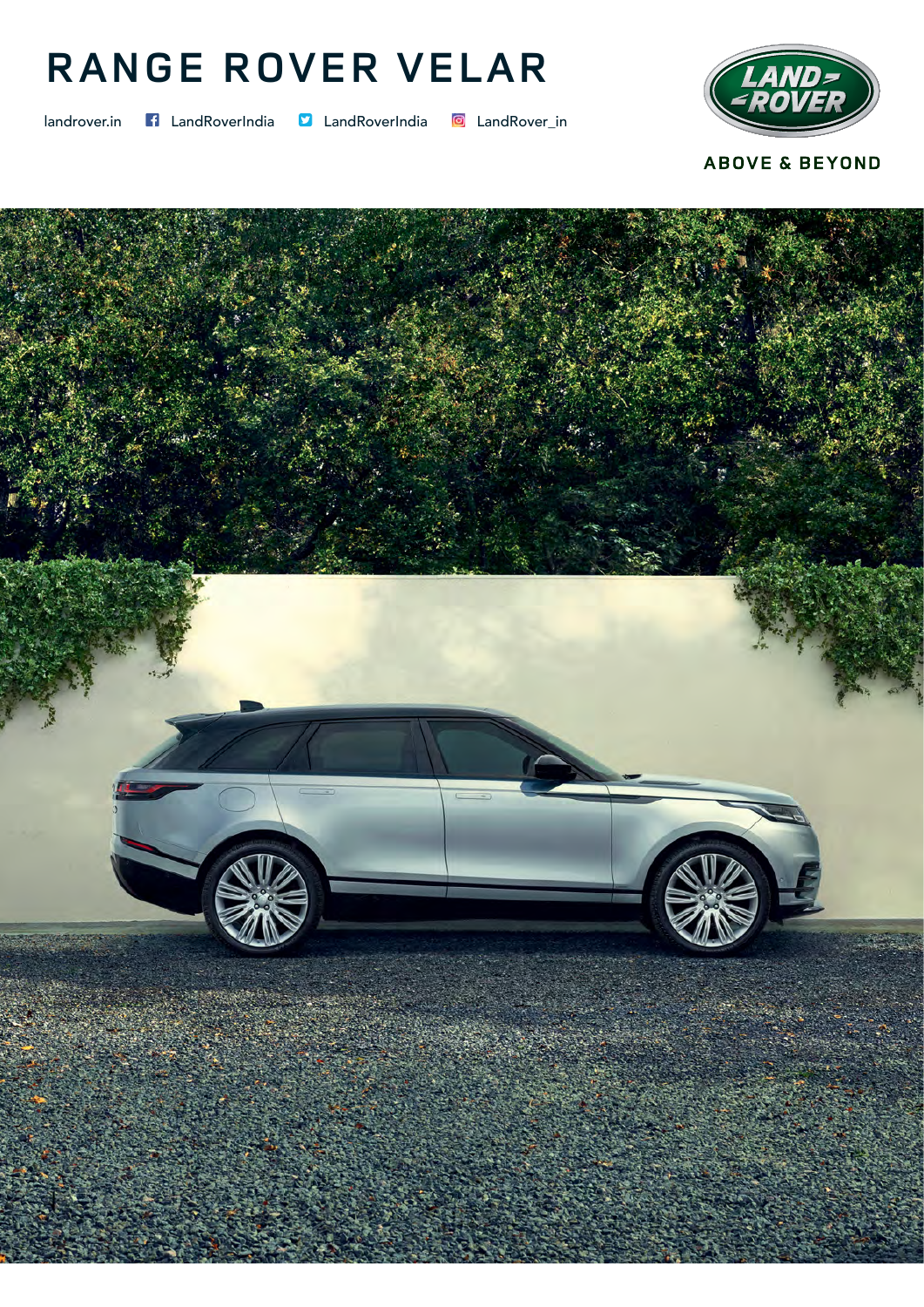## RANGE ROVER VELAR

landrover.in f LandRoverIndia D LandRoverIndia D LandRover\_in



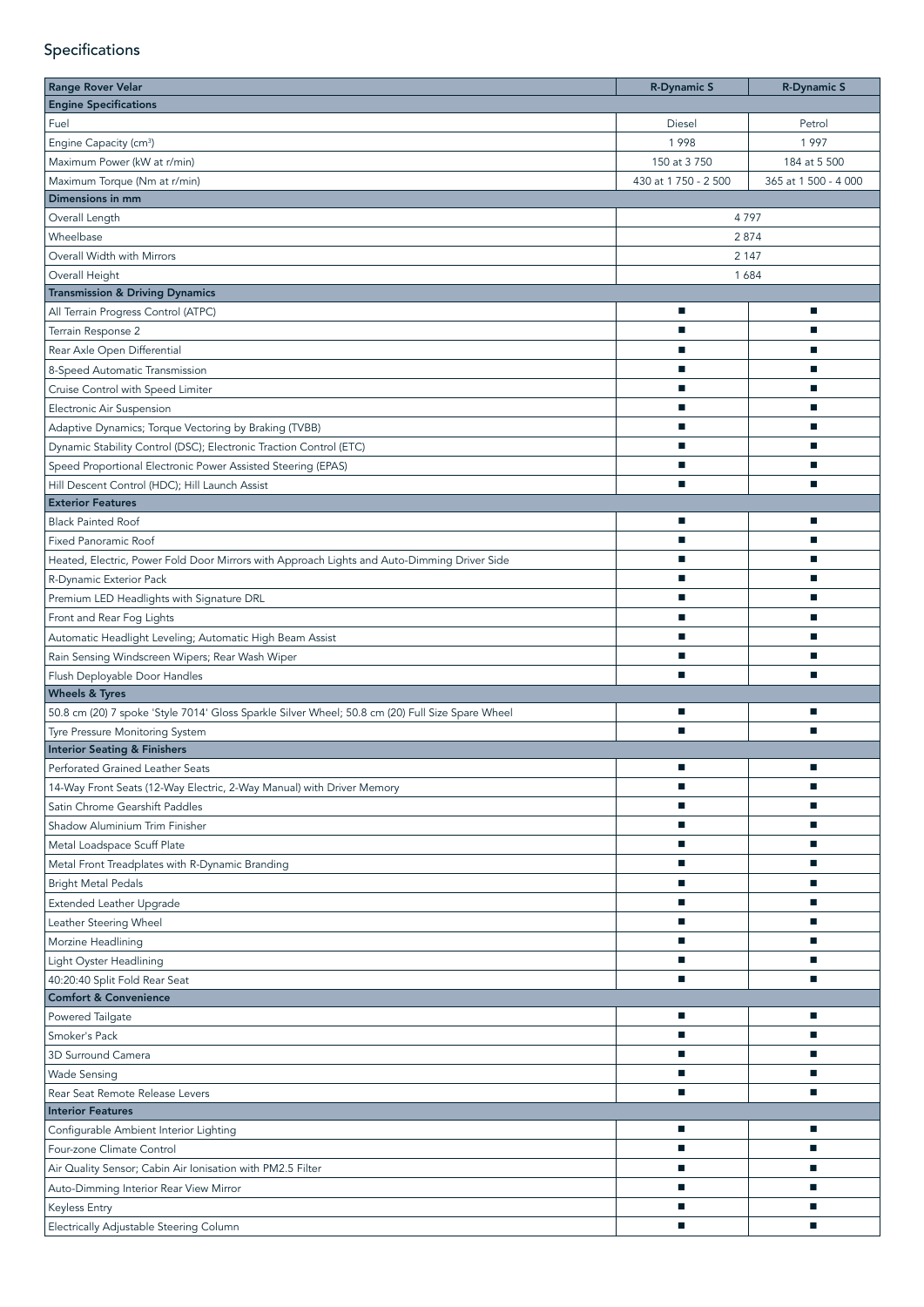## Specifications

| <b>Range Rover Velar</b>                                                                         | <b>R-Dynamic S</b>       | <b>R-Dynamic S</b>   |
|--------------------------------------------------------------------------------------------------|--------------------------|----------------------|
| <b>Engine Specifications</b>                                                                     |                          |                      |
| Fuel                                                                                             | Diesel                   | Petrol               |
| Engine Capacity (cm <sup>3</sup> )                                                               | 1998                     | 1997                 |
| Maximum Power (kW at r/min)                                                                      | 150 at 3 750             | 184 at 5 500         |
| Maximum Torque (Nm at r/min)                                                                     | 430 at 1 750 - 2 500     | 365 at 1 500 - 4 000 |
| Dimensions in mm                                                                                 |                          |                      |
| Overall Length                                                                                   |                          | 4797                 |
| Wheelbase                                                                                        |                          | 2874                 |
| Overall Width with Mirrors                                                                       |                          | 2 1 4 7              |
| Overall Height                                                                                   | 1684                     |                      |
| <b>Transmission &amp; Driving Dynamics</b>                                                       |                          |                      |
| All Terrain Progress Control (ATPC)                                                              | п                        | ш                    |
| Terrain Response 2                                                                               | Е                        | п                    |
| Rear Axle Open Differential                                                                      | ш                        | ш                    |
| 8-Speed Automatic Transmission                                                                   | ш                        | ш                    |
| Cruise Control with Speed Limiter                                                                | ш                        | a.                   |
| Electronic Air Suspension                                                                        | п                        | п                    |
| Adaptive Dynamics; Torque Vectoring by Braking (TVBB)                                            | п                        | ш                    |
| Dynamic Stability Control (DSC); Electronic Traction Control (ETC)                               | $\blacksquare$           | ш                    |
| Speed Proportional Electronic Power Assisted Steering (EPAS)                                     | $\blacksquare$           | $\mathbf{r}$         |
| Hill Descent Control (HDC); Hill Launch Assist                                                   | $\blacksquare$           | ш                    |
| <b>Exterior Features</b>                                                                         |                          |                      |
| <b>Black Painted Roof</b>                                                                        | ×.                       | ш                    |
| <b>Fixed Panoramic Roof</b>                                                                      | $\blacksquare$           | $\mathbf{r}$         |
| Heated, Electric, Power Fold Door Mirrors with Approach Lights and Auto-Dimming Driver Side      | $\blacksquare$           | ш                    |
| R-Dynamic Exterior Pack                                                                          | □                        | ш                    |
| Premium LED Headlights with Signature DRL                                                        | п                        | п                    |
| Front and Rear Fog Lights                                                                        | П                        | ▬                    |
|                                                                                                  | п                        |                      |
| Automatic Headlight Leveling; Automatic High Beam Assist                                         | □                        |                      |
| Rain Sensing Windscreen Wipers; Rear Wash Wiper                                                  | п                        | □                    |
| Flush Deployable Door Handles<br><b>Wheels &amp; Tyres</b>                                       |                          |                      |
| 50.8 cm (20) 7 spoke 'Style 7014' Gloss Sparkle Silver Wheel; 50.8 cm (20) Full Size Spare Wheel | $\overline{\phantom{a}}$ |                      |
| Tyre Pressure Monitoring System                                                                  | п                        | П                    |
| <b>Interior Seating &amp; Finishers</b>                                                          |                          |                      |
| Perforated Grained Leather Seats                                                                 | П                        |                      |
| 14-Way Front Seats (12-Way Electric, 2-Way Manual) with Driver Memory                            | ш                        | ×.                   |
| Satin Chrome Gearshift Paddles                                                                   | $\overline{\phantom{a}}$ | ■                    |
| Shadow Aluminium Trim Finisher                                                                   | $\overline{\phantom{a}}$ | ш                    |
| Metal Loadspace Scuff Plate                                                                      | $\overline{\phantom{a}}$ | ш                    |
|                                                                                                  | $\overline{\phantom{a}}$ | п                    |
| Metal Front Treadplates with R-Dynamic Branding                                                  | ш                        | п                    |
| <b>Bright Metal Pedals</b>                                                                       |                          |                      |
| Extended Leather Upgrade                                                                         | ш                        | $\mathbf{r}$         |
| Leather Steering Wheel                                                                           | $\overline{\phantom{a}}$ | $\mathbf{r}$         |
| Morzine Headlining                                                                               | $\blacksquare$           | $\mathbf{r}$         |
| Light Oyster Headlining                                                                          | ш                        | ш                    |
| 40:20:40 Split Fold Rear Seat                                                                    | $\mathbf{r}$             | $\blacksquare$       |
| <b>Comfort &amp; Convenience</b>                                                                 |                          |                      |
| Powered Tailgate                                                                                 | п                        | ■                    |
| Smoker's Pack                                                                                    | $\mathbf{r}$             | $\blacksquare$       |
| 3D Surround Camera                                                                               | □                        | ш                    |
| <b>Wade Sensing</b>                                                                              | П                        | ▅                    |
| Rear Seat Remote Release Levers                                                                  | ■                        |                      |
| <b>Interior Features</b>                                                                         |                          |                      |
| Configurable Ambient Interior Lighting                                                           | □                        |                      |
| Four-zone Climate Control                                                                        | ▅                        |                      |
| Air Quality Sensor; Cabin Air Ionisation with PM2.5 Filter                                       | ш                        |                      |
| Auto-Dimming Interior Rear View Mirror                                                           | п                        | П                    |
| Keyless Entry                                                                                    | п                        | ■                    |
| Electrically Adjustable Steering Column                                                          | п                        | L.                   |